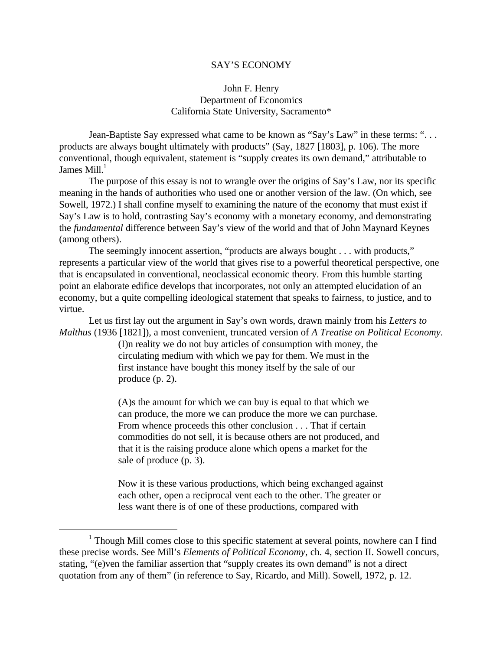## SAY'S ECONOMY

## John F. Henry Department of Economics California State University, Sacramento\*

Jean-Baptiste Say expressed what came to be known as "Say's Law" in these terms: ". . . products are always bought ultimately with products" (Say, 1827 [1803], p. 106). The more conventional, though equivalent, statement is "supply creates its own demand," attributable to James  $Mill<sup>1</sup>$ 

The purpose of this essay is not to wrangle over the origins of Say's Law, nor its specific meaning in the hands of authorities who used one or another version of the law. (On which, see Sowell, 1972.) I shall confine myself to examining the nature of the economy that must exist if Say's Law is to hold, contrasting Say's economy with a monetary economy, and demonstrating the *fundamental* difference between Say's view of the world and that of John Maynard Keynes (among others).

The seemingly innocent assertion, "products are always bought . . . with products," represents a particular view of the world that gives rise to a powerful theoretical perspective, one that is encapsulated in conventional, neoclassical economic theory. From this humble starting point an elaborate edifice develops that incorporates, not only an attempted elucidation of an economy, but a quite compelling ideological statement that speaks to fairness, to justice, and to virtue.

Let us first lay out the argument in Say's own words, drawn mainly from his *Letters to Malthus* (1936 [1821]), a most convenient, truncated version of *A Treatise on Political Economy*.

> (I)n reality we do not buy articles of consumption with money, the circulating medium with which we pay for them. We must in the first instance have bought this money itself by the sale of our produce (p. 2).

> (A)s the amount for which we can buy is equal to that which we can produce, the more we can produce the more we can purchase. From whence proceeds this other conclusion . . . That if certain commodities do not sell, it is because others are not produced, and that it is the raising produce alone which opens a market for the sale of produce (p. 3).

Now it is these various productions, which being exchanged against each other, open a reciprocal vent each to the other. The greater or less want there is of one of these productions, compared with

<sup>&</sup>lt;sup>1</sup> Though Mill comes close to this specific statement at several points, nowhere can I find these precise words. See Mill's *Elements of Political Economy*, ch. 4, section II. Sowell concurs, stating, "(e)ven the familiar assertion that "supply creates its own demand" is not a direct quotation from any of them" (in reference to Say, Ricardo, and Mill). Sowell, 1972, p. 12.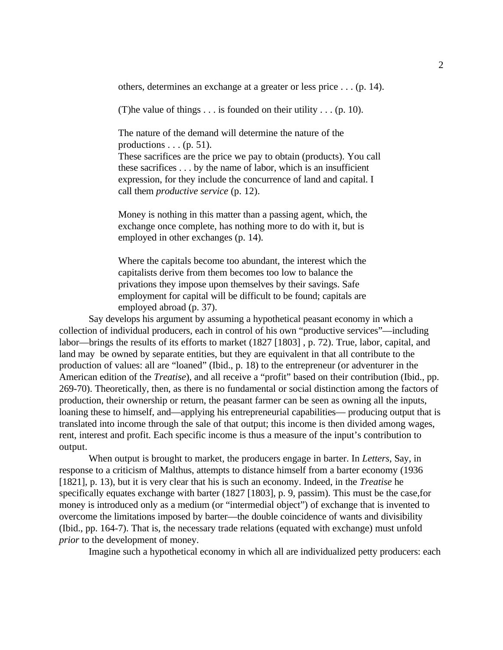others, determines an exchange at a greater or less price . . . (p. 14).

(T) he value of things  $\dots$  is founded on their utility  $\dots$  (p. 10).

The nature of the demand will determine the nature of the productions  $\dots$  (p. 51).

These sacrifices are the price we pay to obtain (products). You call these sacrifices . . . by the name of labor, which is an insufficient expression, for they include the concurrence of land and capital. I call them *productive service* (p. 12).

Money is nothing in this matter than a passing agent, which, the exchange once complete, has nothing more to do with it, but is employed in other exchanges (p. 14).

Where the capitals become too abundant, the interest which the capitalists derive from them becomes too low to balance the privations they impose upon themselves by their savings. Safe employment for capital will be difficult to be found; capitals are employed abroad (p. 37).

Say develops his argument by assuming a hypothetical peasant economy in which a collection of individual producers, each in control of his own "productive services"—including labor—brings the results of its efforts to market (1827 [1803] , p. 72). True, labor, capital, and land may be owned by separate entities, but they are equivalent in that all contribute to the production of values: all are "loaned" (Ibid., p. 18) to the entrepreneur (or adventurer in the American edition of the *Treatise*), and all receive a "profit" based on their contribution (Ibid., pp. 269-70). Theoretically, then, as there is no fundamental or social distinction among the factors of production, their ownership or return, the peasant farmer can be seen as owning all the inputs, loaning these to himself, and—applying his entrepreneurial capabilities— producing output that is translated into income through the sale of that output; this income is then divided among wages, rent, interest and profit. Each specific income is thus a measure of the input's contribution to output.

When output is brought to market, the producers engage in barter. In *Letters*, Say, in response to a criticism of Malthus, attempts to distance himself from a barter economy (1936 [1821], p. 13), but it is very clear that his is such an economy. Indeed, in the *Treatise* he specifically equates exchange with barter (1827 [1803], p. 9, passim). This must be the case,for money is introduced only as a medium (or "intermedial object") of exchange that is invented to overcome the limitations imposed by barter—the double coincidence of wants and divisibility (Ibid., pp. 164-7). That is, the necessary trade relations (equated with exchange) must unfold *prior* to the development of money.

Imagine such a hypothetical economy in which all are individualized petty producers: each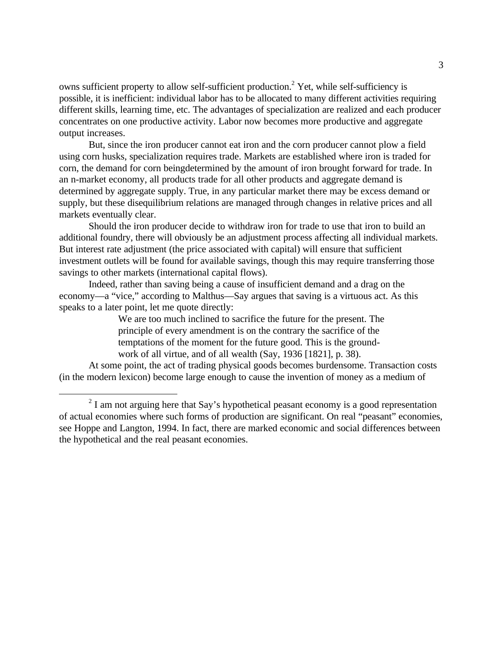owns sufficient property to allow self-sufficient production.<sup>2</sup> Yet, while self-sufficiency is possible, it is inefficient: individual labor has to be allocated to many different activities requiring different skills, learning time, etc. The advantages of specialization are realized and each producer concentrates on one productive activity. Labor now becomes more productive and aggregate output increases.

But, since the iron producer cannot eat iron and the corn producer cannot plow a field using corn husks, specialization requires trade. Markets are established where iron is traded for corn, the demand for corn beingdetermined by the amount of iron brought forward for trade. In an n-market economy, all products trade for all other products and aggregate demand is determined by aggregate supply. True, in any particular market there may be excess demand or supply, but these disequilibrium relations are managed through changes in relative prices and all markets eventually clear.

Should the iron producer decide to withdraw iron for trade to use that iron to build an additional foundry, there will obviously be an adjustment process affecting all individual markets. But interest rate adjustment (the price associated with capital) will ensure that sufficient investment outlets will be found for available savings, though this may require transferring those savings to other markets (international capital flows).

Indeed, rather than saving being a cause of insufficient demand and a drag on the economy—a "vice," according to Malthus—Say argues that saving is a virtuous act. As this speaks to a later point, let me quote directly:

> We are too much inclined to sacrifice the future for the present. The principle of every amendment is on the contrary the sacrifice of the temptations of the moment for the future good. This is the groundwork of all virtue, and of all wealth (Say, 1936 [1821], p. 38).

At some point, the act of trading physical goods becomes burdensome. Transaction costs (in the modern lexicon) become large enough to cause the invention of money as a medium of

 $2<sup>2</sup>$  I am not arguing here that Say's hypothetical peasant economy is a good representation of actual economies where such forms of production are significant. On real "peasant" economies, see Hoppe and Langton, 1994. In fact, there are marked economic and social differences between the hypothetical and the real peasant economies.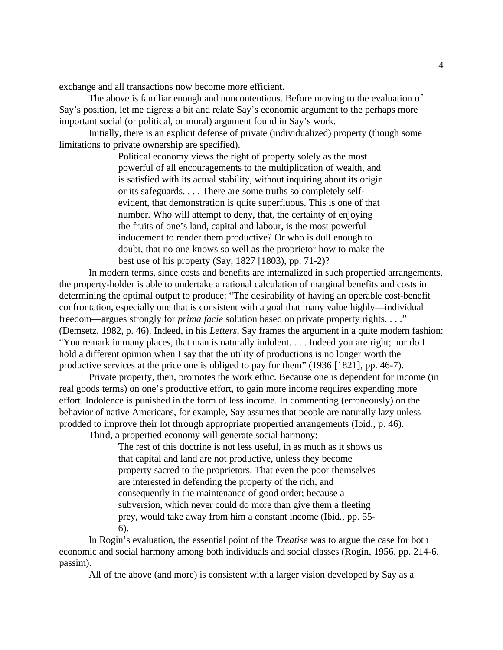exchange and all transactions now become more efficient.

The above is familiar enough and noncontentious. Before moving to the evaluation of Say's position, let me digress a bit and relate Say's economic argument to the perhaps more important social (or political, or moral) argument found in Say's work.

Initially, there is an explicit defense of private (individualized) property (though some limitations to private ownership are specified).

> Political economy views the right of property solely as the most powerful of all encouragements to the multiplication of wealth, and is satisfied with its actual stability, without inquiring about its origin or its safeguards. . . . There are some truths so completely selfevident, that demonstration is quite superfluous. This is one of that number. Who will attempt to deny, that, the certainty of enjoying the fruits of one's land, capital and labour, is the most powerful inducement to render them productive? Or who is dull enough to doubt, that no one knows so well as the proprietor how to make the best use of his property (Say, 1827 [1803), pp. 71-2)?

In modern terms, since costs and benefits are internalized in such propertied arrangements, the property-holder is able to undertake a rational calculation of marginal benefits and costs in determining the optimal output to produce: "The desirability of having an operable cost-benefit confrontation, especially one that is consistent with a goal that many value highly—individual freedom—argues strongly for *prima facie* solution based on private property rights. . . ." (Demsetz, 1982, p. 46). Indeed, in his *Letters*, Say frames the argument in a quite modern fashion: "You remark in many places, that man is naturally indolent. . . . Indeed you are right; nor do I hold a different opinion when I say that the utility of productions is no longer worth the productive services at the price one is obliged to pay for them" (1936 [1821], pp. 46-7).

Private property, then, promotes the work ethic. Because one is dependent for income (in real goods terms) on one's productive effort, to gain more income requires expending more effort. Indolence is punished in the form of less income. In commenting (erroneously) on the behavior of native Americans, for example, Say assumes that people are naturally lazy unless prodded to improve their lot through appropriate propertied arrangements (Ibid., p. 46).

Third, a propertied economy will generate social harmony:

The rest of this doctrine is not less useful, in as much as it shows us that capital and land are not productive, unless they become property sacred to the proprietors. That even the poor themselves are interested in defending the property of the rich, and consequently in the maintenance of good order; because a subversion, which never could do more than give them a fleeting prey, would take away from him a constant income (Ibid., pp. 55- 6).

In Rogin's evaluation, the essential point of the *Treatise* was to argue the case for both economic and social harmony among both individuals and social classes (Rogin, 1956, pp. 214-6, passim).

All of the above (and more) is consistent with a larger vision developed by Say as a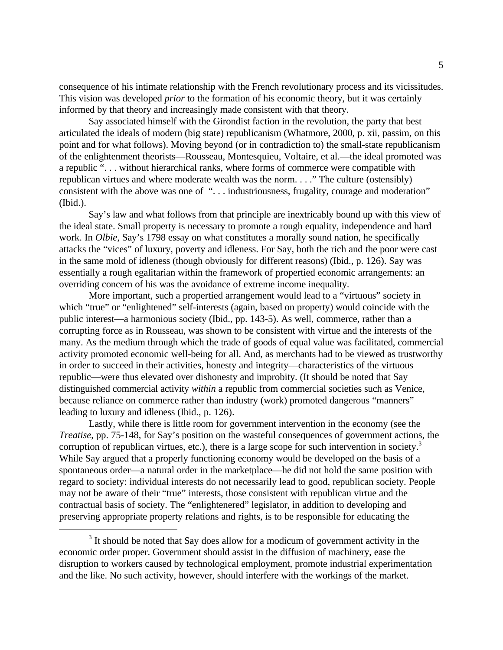consequence of his intimate relationship with the French revolutionary process and its vicissitudes. This vision was developed *prior* to the formation of his economic theory, but it was certainly informed by that theory and increasingly made consistent with that theory.

Say associated himself with the Girondist faction in the revolution, the party that best articulated the ideals of modern (big state) republicanism (Whatmore, 2000, p. xii, passim, on this point and for what follows). Moving beyond (or in contradiction to) the small-state republicanism of the enlightenment theorists—Rousseau, Montesquieu, Voltaire, et al.—the ideal promoted was a republic ". . . without hierarchical ranks, where forms of commerce were compatible with republican virtues and where moderate wealth was the norm. . . ." The culture (ostensibly) consistent with the above was one of ". . . industriousness, frugality, courage and moderation" (Ibid.).

Say's law and what follows from that principle are inextricably bound up with this view of the ideal state. Small property is necessary to promote a rough equality, independence and hard work. In *Olbie*, Say's 1798 essay on what constitutes a morally sound nation, he specifically attacks the "vices" of luxury, poverty and idleness. For Say, both the rich and the poor were cast in the same mold of idleness (though obviously for different reasons) (Ibid., p. 126). Say was essentially a rough egalitarian within the framework of propertied economic arrangements: an overriding concern of his was the avoidance of extreme income inequality.

More important, such a propertied arrangement would lead to a "virtuous" society in which "true" or "enlightened" self-interests (again, based on property) would coincide with the public interest—a harmonious society (Ibid., pp. 143-5). As well, commerce, rather than a corrupting force as in Rousseau, was shown to be consistent with virtue and the interests of the many. As the medium through which the trade of goods of equal value was facilitated, commercial activity promoted economic well-being for all. And, as merchants had to be viewed as trustworthy in order to succeed in their activities, honesty and integrity—characteristics of the virtuous republic—were thus elevated over dishonesty and improbity. (It should be noted that Say distinguished commercial activity *within* a republic from commercial societies such as Venice, because reliance on commerce rather than industry (work) promoted dangerous "manners" leading to luxury and idleness (Ibid., p. 126).

Lastly, while there is little room for government intervention in the economy (see the *Treatise*, pp. 75-148, for Say's position on the wasteful consequences of government actions, the corruption of republican virtues, etc.), there is a large scope for such intervention in society.<sup>3</sup> While Say argued that a properly functioning economy would be developed on the basis of a spontaneous order—a natural order in the marketplace—he did not hold the same position with regard to society: individual interests do not necessarily lead to good, republican society. People may not be aware of their "true" interests, those consistent with republican virtue and the contractual basis of society. The "enlightenered" legislator, in addition to developing and preserving appropriate property relations and rights, is to be responsible for educating the

<sup>&</sup>lt;sup>3</sup> It should be noted that Say does allow for a modicum of government activity in the economic order proper. Government should assist in the diffusion of machinery, ease the disruption to workers caused by technological employment, promote industrial experimentation and the like. No such activity, however, should interfere with the workings of the market.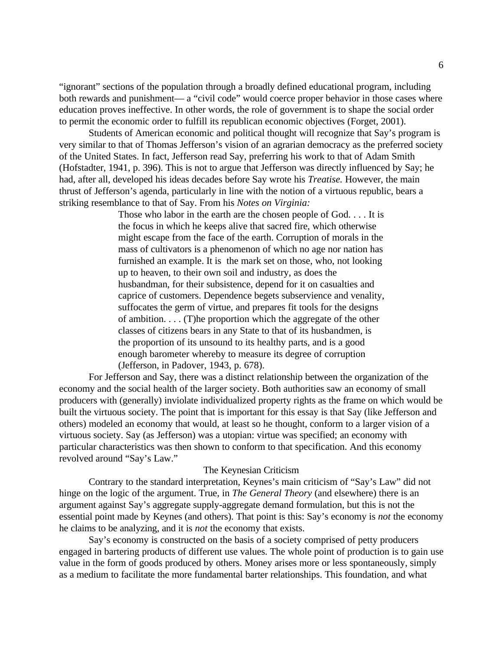"ignorant" sections of the population through a broadly defined educational program, including both rewards and punishment— a "civil code" would coerce proper behavior in those cases where education proves ineffective. In other words, the role of government is to shape the social order to permit the economic order to fulfill its republican economic objectives (Forget, 2001).

Students of American economic and political thought will recognize that Say's program is very similar to that of Thomas Jefferson's vision of an agrarian democracy as the preferred society of the United States. In fact, Jefferson read Say, preferring his work to that of Adam Smith (Hofstadter, 1941, p. 396). This is not to argue that Jefferson was directly influenced by Say; he had, after all, developed his ideas decades before Say wrote his *Treatise.* However, the main thrust of Jefferson's agenda, particularly in line with the notion of a virtuous republic, bears a striking resemblance to that of Say. From his *Notes on Virginia:*

> Those who labor in the earth are the chosen people of God. . . . It is the focus in which he keeps alive that sacred fire, which otherwise might escape from the face of the earth. Corruption of morals in the mass of cultivators is a phenomenon of which no age nor nation has furnished an example. It is the mark set on those, who, not looking up to heaven, to their own soil and industry, as does the husbandman, for their subsistence, depend for it on casualties and caprice of customers. Dependence begets subservience and venality, suffocates the germ of virtue, and prepares fit tools for the designs of ambition. . . . (T)he proportion which the aggregate of the other classes of citizens bears in any State to that of its husbandmen, is the proportion of its unsound to its healthy parts, and is a good enough barometer whereby to measure its degree of corruption (Jefferson, in Padover, 1943, p. 678).

For Jefferson and Say, there was a distinct relationship between the organization of the economy and the social health of the larger society. Both authorities saw an economy of small producers with (generally) inviolate individualized property rights as the frame on which would be built the virtuous society. The point that is important for this essay is that Say (like Jefferson and others) modeled an economy that would, at least so he thought, conform to a larger vision of a virtuous society. Say (as Jefferson) was a utopian: virtue was specified; an economy with particular characteristics was then shown to conform to that specification. And this economy revolved around "Say's Law."

## The Keynesian Criticism

Contrary to the standard interpretation, Keynes's main criticism of "Say's Law" did not hinge on the logic of the argument. True, in *The General Theory* (and elsewhere) there is an argument against Say's aggregate supply-aggregate demand formulation, but this is not the essential point made by Keynes (and others). That point is this: Say's economy is *not* the economy he claims to be analyzing, and it is *not* the economy that exists.

Say's economy is constructed on the basis of a society comprised of petty producers engaged in bartering products of different use values. The whole point of production is to gain use value in the form of goods produced by others. Money arises more or less spontaneously, simply as a medium to facilitate the more fundamental barter relationships. This foundation, and what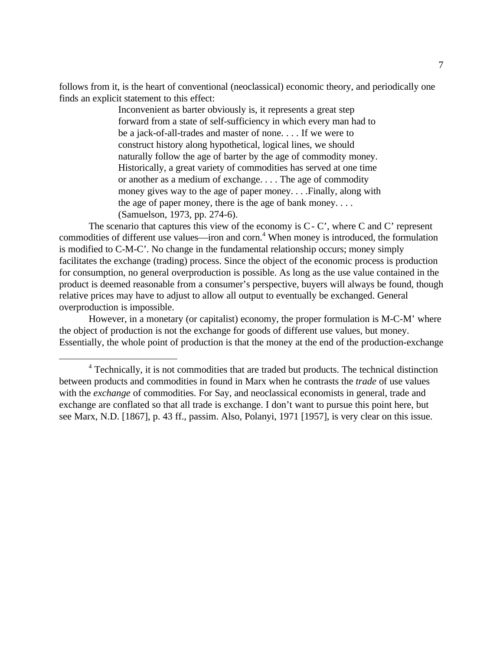follows from it, is the heart of conventional (neoclassical) economic theory, and periodically one finds an explicit statement to this effect:

> Inconvenient as barter obviously is, it represents a great step forward from a state of self-sufficiency in which every man had to be a jack-of-all-trades and master of none. . . . If we were to construct history along hypothetical, logical lines, we should naturally follow the age of barter by the age of commodity money. Historically, a great variety of commodities has served at one time or another as a medium of exchange. . . . The age of commodity money gives way to the age of paper money. . . .Finally, along with the age of paper money, there is the age of bank money. . . . (Samuelson, 1973, pp. 274-6).

The scenario that captures this view of the economy is  $C - C'$ , where C and C' represent commodities of different use values—iron and corn.<sup>4</sup> When money is introduced, the formulation is modified to C-M-C'. No change in the fundamental relationship occurs; money simply facilitates the exchange (trading) process. Since the object of the economic process is production for consumption, no general overproduction is possible. As long as the use value contained in the product is deemed reasonable from a consumer's perspective, buyers will always be found, though relative prices may have to adjust to allow all output to eventually be exchanged. General overproduction is impossible.

However, in a monetary (or capitalist) economy, the proper formulation is M-C-M' where the object of production is not the exchange for goods of different use values, but money. Essentially, the whole point of production is that the money at the end of the production-exchange

<sup>&</sup>lt;sup>4</sup> Technically, it is not commodities that are traded but products. The technical distinction between products and commodities in found in Marx when he contrasts the *trade* of use values with the *exchange* of commodities. For Say, and neoclassical economists in general, trade and exchange are conflated so that all trade is exchange. I don't want to pursue this point here, but see Marx, N.D. [1867], p. 43 ff., passim. Also, Polanyi, 1971 [1957], is very clear on this issue.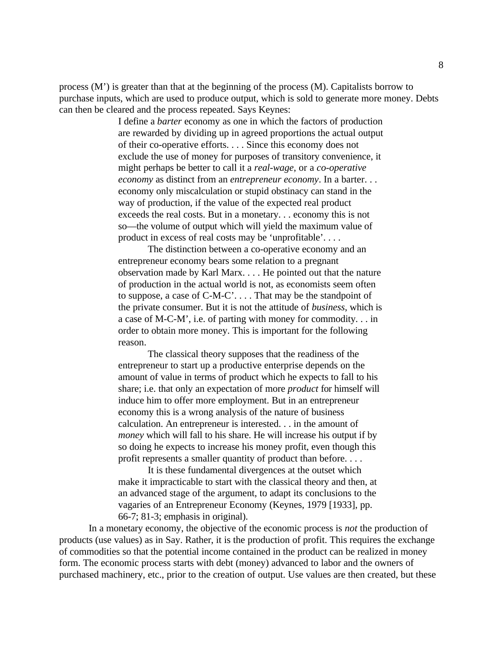process  $(M')$  is greater than that at the beginning of the process  $(M)$ . Capitalists borrow to purchase inputs, which are used to produce output, which is sold to generate more money. Debts can then be cleared and the process repeated. Says Keynes:

> I define a *barter* economy as one in which the factors of production are rewarded by dividing up in agreed proportions the actual output of their co-operative efforts. . . . Since this economy does not exclude the use of money for purposes of transitory convenience, it might perhaps be better to call it a *real-wage*, or a *co-operative economy* as distinct from an *entrepreneur economy*. In a barter. . . economy only miscalculation or stupid obstinacy can stand in the way of production, if the value of the expected real product exceeds the real costs. But in a monetary. . . economy this is not so—the volume of output which will yield the maximum value of product in excess of real costs may be 'unprofitable'. . . .

> The distinction between a co-operative economy and an entrepreneur economy bears some relation to a pregnant observation made by Karl Marx. . . . He pointed out that the nature of production in the actual world is not, as economists seem often to suppose, a case of C-M-C'. . . . That may be the standpoint of the private consumer. But it is not the attitude of *business*, which is a case of M-C-M', i.e. of parting with money for commodity. . . in order to obtain more money. This is important for the following reason.

> The classical theory supposes that the readiness of the entrepreneur to start up a productive enterprise depends on the amount of value in terms of product which he expects to fall to his share; i.e. that only an expectation of more *product* for himself will induce him to offer more employment. But in an entrepreneur economy this is a wrong analysis of the nature of business calculation. An entrepreneur is interested. . . in the amount of *money* which will fall to his share. He will increase his output if by so doing he expects to increase his money profit, even though this profit represents a smaller quantity of product than before. . . .

> It is these fundamental divergences at the outset which make it impracticable to start with the classical theory and then, at an advanced stage of the argument, to adapt its conclusions to the vagaries of an Entrepreneur Economy (Keynes, 1979 [1933], pp. 66-7; 81-3; emphasis in original).

In a monetary economy, the objective of the economic process is *not* the production of products (use values) as in Say. Rather, it is the production of profit. This requires the exchange of commodities so that the potential income contained in the product can be realized in money form. The economic process starts with debt (money) advanced to labor and the owners of purchased machinery, etc., prior to the creation of output. Use values are then created, but these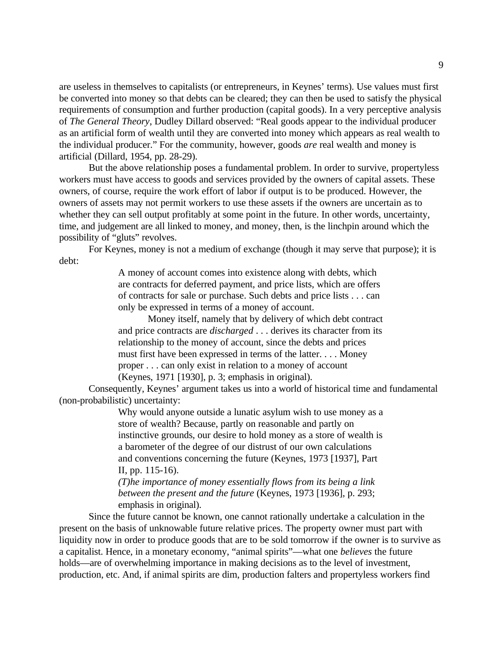are useless in themselves to capitalists (or entrepreneurs, in Keynes' terms). Use values must first be converted into money so that debts can be cleared; they can then be used to satisfy the physical requirements of consumption and further production (capital goods). In a very perceptive analysis of *The General Theory*, Dudley Dillard observed: "Real goods appear to the individual producer as an artificial form of wealth until they are converted into money which appears as real wealth to the individual producer." For the community, however, goods *are* real wealth and money is artificial (Dillard, 1954, pp. 28-29).

But the above relationship poses a fundamental problem. In order to survive, propertyless workers must have access to goods and services provided by the owners of capital assets. These owners, of course, require the work effort of labor if output is to be produced. However, the owners of assets may not permit workers to use these assets if the owners are uncertain as to whether they can sell output profitably at some point in the future. In other words, uncertainty, time, and judgement are all linked to money, and money, then, is the linchpin around which the possibility of "gluts" revolves.

For Keynes, money is not a medium of exchange (though it may serve that purpose); it is debt:

> A money of account comes into existence along with debts, which are contracts for deferred payment, and price lists, which are offers of contracts for sale or purchase. Such debts and price lists . . . can only be expressed in terms of a money of account.

Money itself, namely that by delivery of which debt contract and price contracts are *discharged* . . . derives its character from its relationship to the money of account, since the debts and prices must first have been expressed in terms of the latter. . . . Money proper . . . can only exist in relation to a money of account (Keynes, 1971 [1930], p. 3; emphasis in original).

Consequently, Keynes' argument takes us into a world of historical time and fundamental (non-probabilistic) uncertainty:

> Why would anyone outside a lunatic asylum wish to use money as a store of wealth? Because, partly on reasonable and partly on instinctive grounds, our desire to hold money as a store of wealth is a barometer of the degree of our distrust of our own calculations and conventions concerning the future (Keynes, 1973 [1937], Part II, pp. 115-16).

*(T)he importance of money essentially flows from its being a link between the present and the future* (Keynes, 1973 [1936], p. 293; emphasis in original).

Since the future cannot be known, one cannot rationally undertake a calculation in the present on the basis of unknowable future relative prices. The property owner must part with liquidity now in order to produce goods that are to be sold tomorrow if the owner is to survive as a capitalist. Hence, in a monetary economy, "animal spirits"—what one *believes* the future holds—are of overwhelming importance in making decisions as to the level of investment, production, etc. And, if animal spirits are dim, production falters and propertyless workers find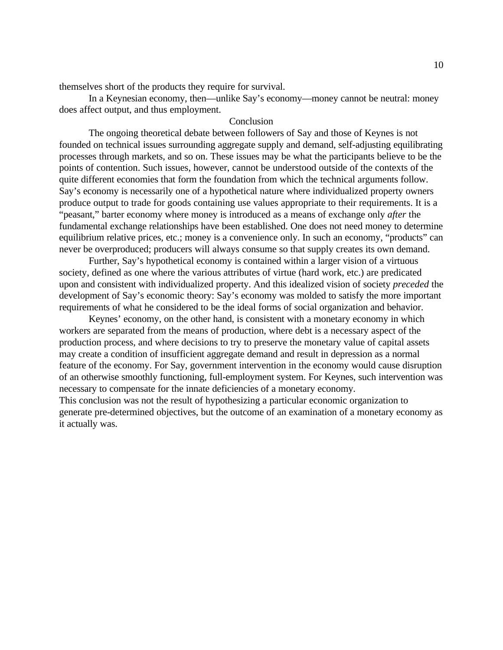themselves short of the products they require for survival.

In a Keynesian economy, then—unlike Say's economy—money cannot be neutral: money does affect output, and thus employment.

## Conclusion

The ongoing theoretical debate between followers of Say and those of Keynes is not founded on technical issues surrounding aggregate supply and demand, self-adjusting equilibrating processes through markets, and so on. These issues may be what the participants believe to be the points of contention. Such issues, however, cannot be understood outside of the contexts of the quite different economies that form the foundation from which the technical arguments follow. Say's economy is necessarily one of a hypothetical nature where individualized property owners produce output to trade for goods containing use values appropriate to their requirements. It is a "peasant," barter economy where money is introduced as a means of exchange only *after* the fundamental exchange relationships have been established. One does not need money to determine equilibrium relative prices, etc.; money is a convenience only. In such an economy, "products" can never be overproduced; producers will always consume so that supply creates its own demand.

Further, Say's hypothetical economy is contained within a larger vision of a virtuous society, defined as one where the various attributes of virtue (hard work, etc.) are predicated upon and consistent with individualized property. And this idealized vision of society *preceded* the development of Say's economic theory: Say's economy was molded to satisfy the more important requirements of what he considered to be the ideal forms of social organization and behavior.

Keynes' economy, on the other hand, is consistent with a monetary economy in which workers are separated from the means of production, where debt is a necessary aspect of the production process, and where decisions to try to preserve the monetary value of capital assets may create a condition of insufficient aggregate demand and result in depression as a normal feature of the economy. For Say, government intervention in the economy would cause disruption of an otherwise smoothly functioning, full-employment system. For Keynes, such intervention was necessary to compensate for the innate deficiencies of a monetary economy. This conclusion was not the result of hypothesizing a particular economic organization to

generate pre-determined objectives, but the outcome of an examination of a monetary economy as it actually was.